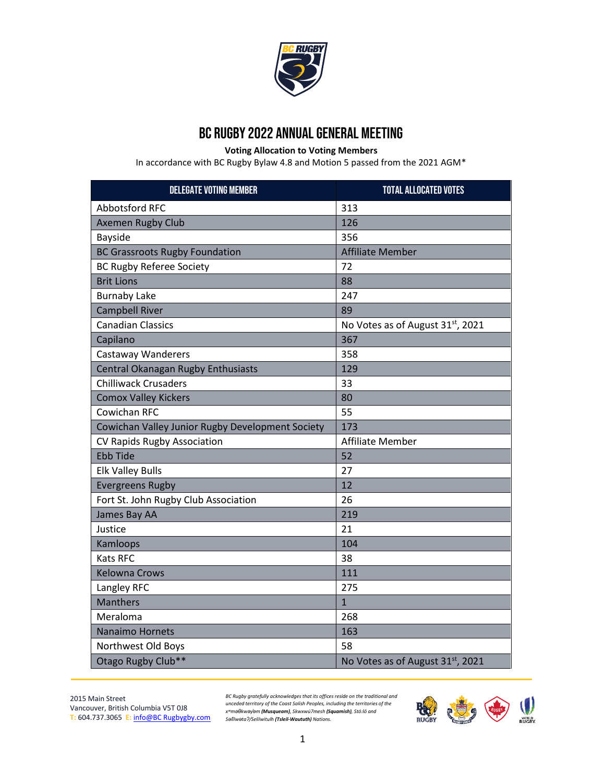

## BC RUGBY 2022 ANNUAL general meeting

**Voting Allocation to Voting Members**

In accordance with BC Rugby Bylaw 4.8 and Motion 5 passed from the 2021 AGM\*

| <b>DELEGATE VOTING MEMBER</b>                    | <b>TOTAL ALLOCATED VOTES</b>                  |
|--------------------------------------------------|-----------------------------------------------|
| <b>Abbotsford RFC</b>                            | 313                                           |
| <b>Axemen Rugby Club</b>                         | 126                                           |
| <b>Bayside</b>                                   | 356                                           |
| <b>BC Grassroots Rugby Foundation</b>            | <b>Affiliate Member</b>                       |
| <b>BC Rugby Referee Society</b>                  | 72                                            |
| <b>Brit Lions</b>                                | 88                                            |
| <b>Burnaby Lake</b>                              | 247                                           |
| <b>Campbell River</b>                            | 89                                            |
| <b>Canadian Classics</b>                         | No Votes as of August 31 <sup>st</sup> , 2021 |
| Capilano                                         | 367                                           |
| <b>Castaway Wanderers</b>                        | 358                                           |
| Central Okanagan Rugby Enthusiasts               | 129                                           |
| <b>Chilliwack Crusaders</b>                      | 33                                            |
| <b>Comox Valley Kickers</b>                      | 80                                            |
| Cowichan RFC                                     | 55                                            |
| Cowichan Valley Junior Rugby Development Society | 173                                           |
| <b>CV Rapids Rugby Association</b>               | <b>Affiliate Member</b>                       |
| <b>Ebb Tide</b>                                  | 52                                            |
| <b>Elk Valley Bulls</b>                          | 27                                            |
| <b>Evergreens Rugby</b>                          | 12                                            |
| Fort St. John Rugby Club Association             | 26                                            |
| James Bay AA                                     | 219                                           |
| Justice                                          | 21                                            |
| Kamloops                                         | 104                                           |
| <b>Kats RFC</b>                                  | 38                                            |
| <b>Kelowna Crows</b>                             | 111                                           |
| Langley RFC                                      | 275                                           |
| <b>Manthers</b>                                  | $\overline{1}$                                |
| Meraloma                                         | 268                                           |
| <b>Nanaimo Hornets</b>                           | 163                                           |
| Northwest Old Boys                               | 58                                            |
| Otago Rugby Club**                               | No Votes as of August 31st, 2021              |

2015 Main Street Vancouver, British Columbia V5T 0J8 **T:** 604.737.3065 **E:** [info@BC Rugbygby.com](mailto:info@bcrugby.com)

*BC Rugby gratefully acknowledges that its offices reside on the traditional and unceded territory of the Coast Salish Peoples, including the territories of the*  х<sup>w</sup>mәθkwәy'әm **(Musqueam)**, Skwxwú7mesh **(Squamish)**, Stó:lõ and<br>Sәlĭlwәtaʔ/Selilwitulh **(Tsleil-Waututh)** Nations.